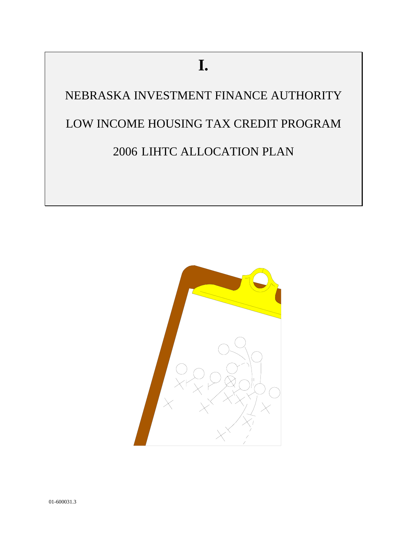# **I.**

NEBRASKA INVESTMENT FINANCE AUTHORITY LOW INCOME HOUSING TAX CREDIT PROGRAM 2006 LIHTC ALLOCATION PLAN

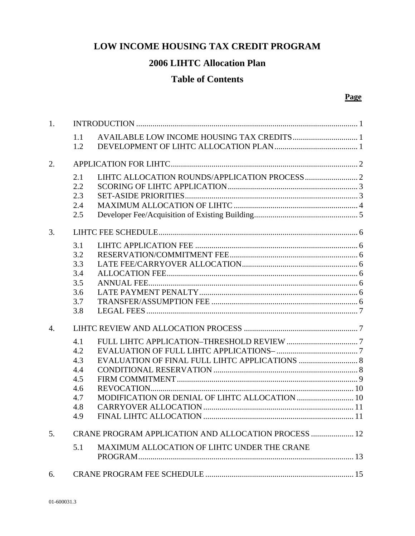# **LOW INCOME HOUSING TAX CREDIT PROGRAM**

# **2006 LIHTC Allocation Plan**

# **Table of Contents**

#### **Page**

| 1. |            |                                                             |  |
|----|------------|-------------------------------------------------------------|--|
|    | 1.1<br>1.2 |                                                             |  |
| 2. |            |                                                             |  |
|    | 2.1        |                                                             |  |
|    | 2.2        |                                                             |  |
|    | 2.3        |                                                             |  |
|    | 2.4        |                                                             |  |
|    | 2.5        |                                                             |  |
| 3. |            |                                                             |  |
|    | 3.1        |                                                             |  |
|    | 3.2        |                                                             |  |
|    | 3.3        |                                                             |  |
|    | 3.4        |                                                             |  |
|    | 3.5        |                                                             |  |
|    | 3.6        |                                                             |  |
|    | 3.7        |                                                             |  |
|    | 3.8        |                                                             |  |
| 4. |            |                                                             |  |
|    | 4.1        |                                                             |  |
|    | 4.2        |                                                             |  |
|    | 4.3        |                                                             |  |
|    | 4.4        |                                                             |  |
|    | 4.5        |                                                             |  |
|    | 4.6        |                                                             |  |
|    | 4.7        |                                                             |  |
|    | 4.8        |                                                             |  |
|    | 4.9        |                                                             |  |
| 5. |            | <b>CRANE PROGRAM APPLICATION AND ALLOCATION PROCESS  12</b> |  |
|    | 5.1        | MAXIMUM ALLOCATION OF LIHTC UNDER THE CRANE                 |  |
| 6. |            |                                                             |  |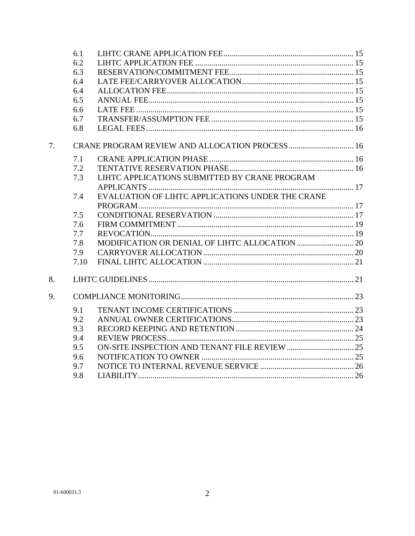|    | 6.1  |                                                  |  |
|----|------|--------------------------------------------------|--|
|    | 6.2  |                                                  |  |
|    | 6.3  |                                                  |  |
|    | 6.4  |                                                  |  |
|    | 6.4  |                                                  |  |
|    | 6.5  |                                                  |  |
|    | 6.6  |                                                  |  |
|    | 6.7  |                                                  |  |
|    | 6.8  |                                                  |  |
| 7. |      |                                                  |  |
|    | 7.1  |                                                  |  |
|    | 7.2  |                                                  |  |
|    | 7.3  | LIHTC APPLICATIONS SUBMITTED BY CRANE PROGRAM    |  |
|    |      |                                                  |  |
|    | 7.4  | EVALUATION OF LIHTC APPLICATIONS UNDER THE CRANE |  |
|    |      |                                                  |  |
|    | 7.5  |                                                  |  |
|    | 7.6  |                                                  |  |
|    | 7.7  |                                                  |  |
|    | 7.8  |                                                  |  |
|    | 7.9  |                                                  |  |
|    | 7.10 |                                                  |  |
| 8. |      |                                                  |  |
| 9. |      |                                                  |  |
|    | 9.1  |                                                  |  |
|    | 9.2  |                                                  |  |
|    | 9.3  |                                                  |  |
|    | 9.4  |                                                  |  |
|    | 9.5  |                                                  |  |
|    | 9.6  |                                                  |  |
|    | 9.7  |                                                  |  |
|    | 9.8  |                                                  |  |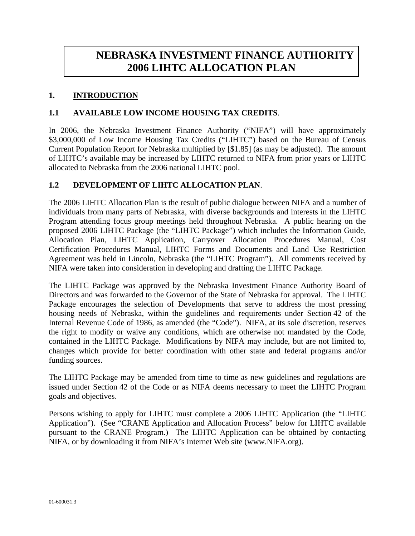# **NEBRASKA INVESTMENT FINANCE AUTHORITY 2006 LIHTC ALLOCATION PLAN**

## **1. INTRODUCTION**

#### **1.1 AVAILABLE LOW INCOME HOUSING TAX CREDITS**.

In 2006, the Nebraska Investment Finance Authority ("NIFA") will have approximately \$3,000,000 of Low Income Housing Tax Credits ("LIHTC") based on the Bureau of Census Current Population Report for Nebraska multiplied by [\$1.85] (as may be adjusted). The amount of LIHTC's available may be increased by LIHTC returned to NIFA from prior years or LIHTC allocated to Nebraska from the 2006 national LIHTC pool.

#### **1.2 DEVELOPMENT OF LIHTC ALLOCATION PLAN**.

The 2006 LIHTC Allocation Plan is the result of public dialogue between NIFA and a number of individuals from many parts of Nebraska, with diverse backgrounds and interests in the LIHTC Program attending focus group meetings held throughout Nebraska. A public hearing on the proposed 2006 LIHTC Package (the "LIHTC Package") which includes the Information Guide, Allocation Plan, LIHTC Application, Carryover Allocation Procedures Manual, Cost Certification Procedures Manual, LIHTC Forms and Documents and Land Use Restriction Agreement was held in Lincoln, Nebraska (the "LIHTC Program"). All comments received by NIFA were taken into consideration in developing and drafting the LIHTC Package.

The LIHTC Package was approved by the Nebraska Investment Finance Authority Board of Directors and was forwarded to the Governor of the State of Nebraska for approval. The LIHTC Package encourages the selection of Developments that serve to address the most pressing housing needs of Nebraska, within the guidelines and requirements under Section 42 of the Internal Revenue Code of 1986, as amended (the "Code"). NIFA, at its sole discretion, reserves the right to modify or waive any conditions, which are otherwise not mandated by the Code, contained in the LIHTC Package. Modifications by NIFA may include, but are not limited to, changes which provide for better coordination with other state and federal programs and/or funding sources.

The LIHTC Package may be amended from time to time as new guidelines and regulations are issued under Section 42 of the Code or as NIFA deems necessary to meet the LIHTC Program goals and objectives.

Persons wishing to apply for LIHTC must complete a 2006 LIHTC Application (the "LIHTC Application"). (See "CRANE Application and Allocation Process" below for LIHTC available pursuant to the CRANE Program.) The LIHTC Application can be obtained by contacting NIFA, or by downloading it from NIFA's Internet Web site (www.NIFA.org).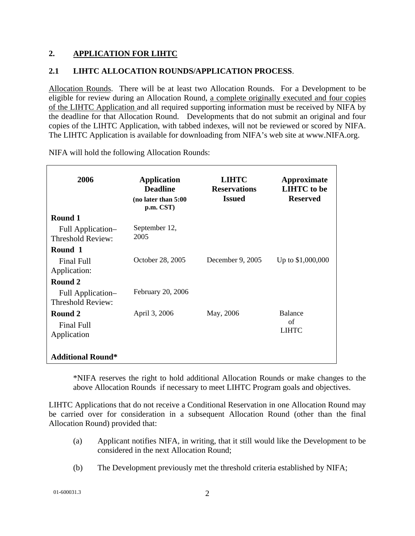# **2. APPLICATION FOR LIHTC**

# **2.1 LIHTC ALLOCATION ROUNDS/APPLICATION PROCESS**.

Allocation Rounds. There will be at least two Allocation Rounds. For a Development to be eligible for review during an Allocation Round, a complete originally executed and four copies of the LIHTC Application and all required supporting information must be received by NIFA by the deadline for that Allocation Round. Developments that do not submit an original and four copies of the LIHTC Application, with tabbed indexes, will not be reviewed or scored by NIFA. The LIHTC Application is available for downloading from NIFA's web site at www.NIFA.org.

| 2006                                          | <b>Application</b><br><b>Deadline</b><br>(no later than 5:00<br>p.m. CST) | <b>LIHTC</b><br><b>Reservations</b><br><b>Issued</b> | Approximate<br><b>LIHTC</b> to be<br><b>Reserved</b> |
|-----------------------------------------------|---------------------------------------------------------------------------|------------------------------------------------------|------------------------------------------------------|
| Round 1                                       |                                                                           |                                                      |                                                      |
| Full Application-<br><b>Threshold Review:</b> | September 12,<br>2005                                                     |                                                      |                                                      |
| Round 1                                       |                                                                           |                                                      |                                                      |
| Final Full<br>Application:                    | October 28, 2005                                                          | December 9, 2005                                     | Up to \$1,000,000                                    |
| Round 2                                       |                                                                           |                                                      |                                                      |
| Full Application-<br>Threshold Review:        | February 20, 2006                                                         |                                                      |                                                      |
| Round 2<br><b>Final Full</b><br>Application   | April 3, 2006                                                             | May, 2006                                            | Balance<br>of<br><b>LIHTC</b>                        |
| <b>Additional Round*</b>                      |                                                                           |                                                      |                                                      |

NIFA will hold the following Allocation Rounds:

\*NIFA reserves the right to hold additional Allocation Rounds or make changes to the above Allocation Rounds if necessary to meet LIHTC Program goals and objectives.

LIHTC Applications that do not receive a Conditional Reservation in one Allocation Round may be carried over for consideration in a subsequent Allocation Round (other than the final Allocation Round) provided that:

- (a) Applicant notifies NIFA, in writing, that it still would like the Development to be considered in the next Allocation Round;
- (b) The Development previously met the threshold criteria established by NIFA;

01-600031.3 2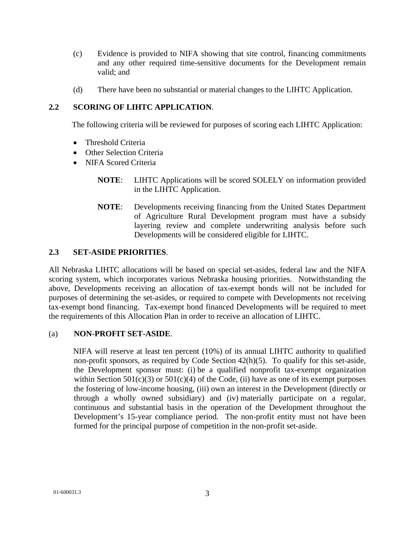- (c) Evidence is provided to NIFA showing that site control, financing commitments and any other required time-sensitive documents for the Development remain valid; and
- (d) There have been no substantial or material changes to the LIHTC Application.

## **2.2 SCORING OF LIHTC APPLICATION**.

The following criteria will be reviewed for purposes of scoring each LIHTC Application:

- Threshold Criteria
- Other Selection Criteria
- NIFA Scored Criteria
	- **NOTE**: LIHTC Applications will be scored SOLELY on information provided in the LIHTC Application.
	- **NOTE**: Developments receiving financing from the United States Department of Agriculture Rural Development program must have a subsidy layering review and complete underwriting analysis before such Developments will be considered eligible for LIHTC.

#### **2.3 SET-ASIDE PRIORITIES**.

All Nebraska LIHTC allocations will be based on special set-asides, federal law and the NIFA scoring system, which incorporates various Nebraska housing priorities. Notwithstanding the above, Developments receiving an allocation of tax-exempt bonds will not be included for purposes of determining the set-asides, or required to compete with Developments not receiving tax-exempt bond financing. Tax-exempt bond financed Developments will be required to meet the requirements of this Allocation Plan in order to receive an allocation of LIHTC.

#### (a) **NON-PROFIT SET-ASIDE**.

NIFA will reserve at least ten percent (10%) of its annual LIHTC authority to qualified non-profit sponsors, as required by Code Section 42(h)(5). To qualify for this set-aside, the Development sponsor must: (i) be a qualified nonprofit tax-exempt organization within Section  $501(c)(3)$  or  $501(c)(4)$  of the Code, (ii) have as one of its exempt purposes the fostering of low-income housing, (iii) own an interest in the Development (directly or through a wholly owned subsidiary) and (iv) materially participate on a regular, continuous and substantial basis in the operation of the Development throughout the Development's 15-year compliance period. The non-profit entity must not have been formed for the principal purpose of competition in the non-profit set-aside.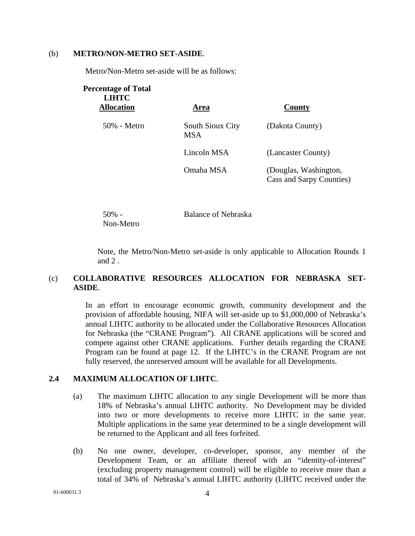#### (b) **METRO/NON-METRO SET-ASIDE**.

Metro/Non-Metro set-aside will be as follows:

| <b>Percentage of Total</b><br><b>LIHTC</b><br><b>Allocation</b> | Area                                  | County                                            |
|-----------------------------------------------------------------|---------------------------------------|---------------------------------------------------|
| 50% - Metro                                                     | <b>South Sioux City</b><br><b>MSA</b> | (Dakota County)                                   |
|                                                                 | Lincoln MSA                           | (Lancaster County)                                |
|                                                                 | Omaha MSA                             | (Douglas, Washington,<br>Cass and Sarpy Counties) |

50% - Non-Metro Balance of Nebraska

Note, the Metro/Non-Metro set-aside is only applicable to Allocation Rounds 1 and 2 .

#### (c) **COLLABORATIVE RESOURCES ALLOCATION FOR NEBRASKA SET-ASIDE**.

In an effort to encourage economic growth, community development and the provision of affordable housing, NIFA will set-aside up to \$1,000,000 of Nebraska's annual LIHTC authority to be allocated under the Collaborative Resources Allocation for Nebraska (the "CRANE Program"). All CRANE applications will be scored and compete against other CRANE applications. Further details regarding the CRANE Program can be found at page 12. If the LIHTC's in the CRANE Program are not fully reserved, the unreserved amount will be available for all Developments.

#### **2.4 MAXIMUM ALLOCATION OF LIHTC**.

- (a) The maximum LIHTC allocation to any single Development will be more than 18% of Nebraska's annual LIHTC authority. No Development may be divided into two or more developments to receive more LIHTC in the same year. Multiple applications in the same year determined to be a single development will be returned to the Applicant and all fees forfeited.
- (b) No one owner, developer, co-developer, sponsor, any member of the Development Team, or an affiliate thereof with an "identity-of-interest" (excluding property management control) will be eligible to receive more than a total of 34% of Nebraska's annual LIHTC authority (LIHTC received under the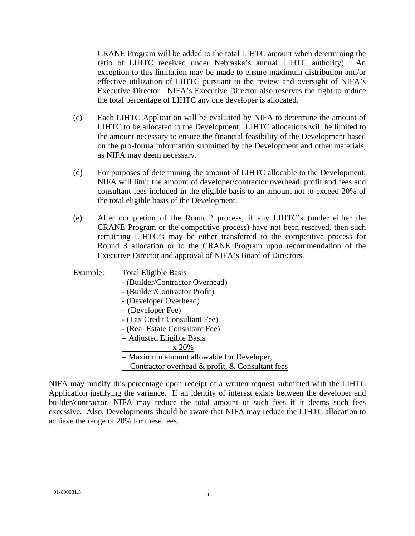CRANE Program will be added to the total LIHTC amount when determining the ratio of LIHTC received under Nebraska's annual LIHTC authority). An exception to this limitation may be made to ensure maximum distribution and/or effective utilization of LIHTC pursuant to the review and oversight of NIFA's Executive Director. NIFA's Executive Director also reserves the right to reduce the total percentage of LIHTC any one developer is allocated.

- (c) Each LIHTC Application will be evaluated by NIFA to determine the amount of LIHTC to be allocated to the Development. LIHTC allocations will be limited to the amount necessary to ensure the financial feasibility of the Development based on the pro-forma information submitted by the Development and other materials, as NIFA may deem necessary.
- (d) For purposes of determining the amount of LIHTC allocable to the Development, NIFA will limit the amount of developer/contractor overhead, profit and fees and consultant fees included in the eligible basis to an amount not to exceed 20% of the total eligible basis of the Development.
- (e) After completion of the Round 2 process, if any LIHTC's (under either the CRANE Program or the competitive process) have not been reserved, then such remaining LIHTC's may be either transferred to the competitive process for Round 3 allocation or to the CRANE Program upon recommendation of the Executive Director and approval of NIFA's Board of Directors.

#### Example: Total Eligible Basis

- (Builder/Contractor Overhead)
- (Builder/Contractor Profit)
- (Developer Overhead)
- (Developer Fee)
- (Tax Credit Consultant Fee)
- (Real Estate Consultant Fee)
- $=$  Adjusted Eligible Basis
	- x 20%
- = Maximum amount allowable for Developer,
- Contractor overhead & profit, & Consultant fees

NIFA may modify this percentage upon receipt of a written request submitted with the LIHTC Application justifying the variance. If an identity of interest exists between the developer and builder/contractor, NIFA may reduce the total amount of such fees if it deems such fees excessive. Also, Developments should be aware that NIFA may reduce the LIHTC allocation to achieve the range of 20% for these fees.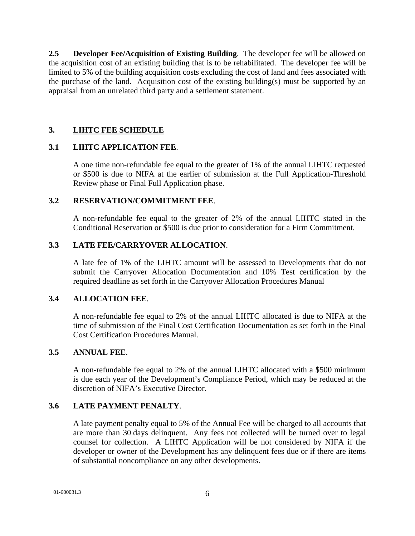**2.5 Developer Fee/Acquisition of Existing Building**. The developer fee will be allowed on the acquisition cost of an existing building that is to be rehabilitated. The developer fee will be limited to 5% of the building acquisition costs excluding the cost of land and fees associated with the purchase of the land. Acquisition cost of the existing building(s) must be supported by an appraisal from an unrelated third party and a settlement statement.

## **3. LIHTC FEE SCHEDULE**

#### **3.1 LIHTC APPLICATION FEE**.

A one time non-refundable fee equal to the greater of 1% of the annual LIHTC requested or \$500 is due to NIFA at the earlier of submission at the Full Application-Threshold Review phase or Final Full Application phase.

#### **3.2 RESERVATION/COMMITMENT FEE**.

A non-refundable fee equal to the greater of 2% of the annual LIHTC stated in the Conditional Reservation or \$500 is due prior to consideration for a Firm Commitment.

#### **3.3 LATE FEE/CARRYOVER ALLOCATION**.

A late fee of 1% of the LIHTC amount will be assessed to Developments that do not submit the Carryover Allocation Documentation and 10% Test certification by the required deadline as set forth in the Carryover Allocation Procedures Manual

#### **3.4 ALLOCATION FEE**.

A non-refundable fee equal to 2% of the annual LIHTC allocated is due to NIFA at the time of submission of the Final Cost Certification Documentation as set forth in the Final Cost Certification Procedures Manual.

#### **3.5 ANNUAL FEE**.

A non-refundable fee equal to 2% of the annual LIHTC allocated with a \$500 minimum is due each year of the Development's Compliance Period, which may be reduced at the discretion of NIFA's Executive Director.

#### **3.6 LATE PAYMENT PENALTY**.

A late payment penalty equal to 5% of the Annual Fee will be charged to all accounts that are more than 30 days delinquent. Any fees not collected will be turned over to legal counsel for collection. A LIHTC Application will be not considered by NIFA if the developer or owner of the Development has any delinquent fees due or if there are items of substantial noncompliance on any other developments.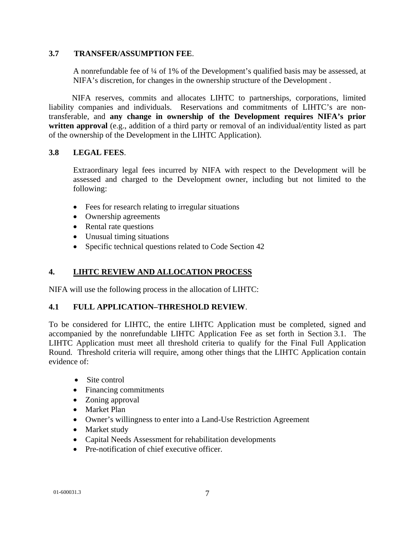#### **3.7 TRANSFER/ASSUMPTION FEE**.

A nonrefundable fee of ¼ of 1% of the Development's qualified basis may be assessed, at NIFA's discretion, for changes in the ownership structure of the Development .

 NIFA reserves, commits and allocates LIHTC to partnerships, corporations, limited liability companies and individuals. Reservations and commitments of LIHTC's are nontransferable, and **any change in ownership of the Development requires NIFA's prior written approval** (e.g., addition of a third party or removal of an individual/entity listed as part of the ownership of the Development in the LIHTC Application).

# **3.8 LEGAL FEES**.

Extraordinary legal fees incurred by NIFA with respect to the Development will be assessed and charged to the Development owner, including but not limited to the following:

- Fees for research relating to irregular situations
- Ownership agreements
- Rental rate questions
- Unusual timing situations
- Specific technical questions related to Code Section 42

# **4. LIHTC REVIEW AND ALLOCATION PROCESS**

NIFA will use the following process in the allocation of LIHTC:

#### **4.1 FULL APPLICATION–THRESHOLD REVIEW**.

To be considered for LIHTC, the entire LIHTC Application must be completed, signed and accompanied by the nonrefundable LIHTC Application Fee as set forth in Section 3.1. The LIHTC Application must meet all threshold criteria to qualify for the Final Full Application Round. Threshold criteria will require, among other things that the LIHTC Application contain evidence of:

- Site control
- Financing commitments
- Zoning approval
- Market Plan
- Owner's willingness to enter into a Land-Use Restriction Agreement
- Market study
- Capital Needs Assessment for rehabilitation developments
- Pre-notification of chief executive officer.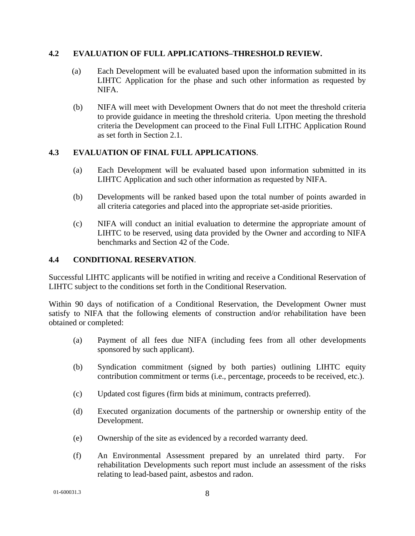# **4.2 EVALUATION OF FULL APPLICATIONS–THRESHOLD REVIEW.**

- (a) Each Development will be evaluated based upon the information submitted in its LIHTC Application for the phase and such other information as requested by NIFA.
- (b) NIFA will meet with Development Owners that do not meet the threshold criteria to provide guidance in meeting the threshold criteria. Upon meeting the threshold criteria the Development can proceed to the Final Full LITHC Application Round as set forth in Section 2.1.

# **4.3 EVALUATION OF FINAL FULL APPLICATIONS**.

- (a) Each Development will be evaluated based upon information submitted in its LIHTC Application and such other information as requested by NIFA.
- (b) Developments will be ranked based upon the total number of points awarded in all criteria categories and placed into the appropriate set-aside priorities.
- (c) NIFA will conduct an initial evaluation to determine the appropriate amount of LIHTC to be reserved, using data provided by the Owner and according to NIFA benchmarks and Section 42 of the Code.

#### **4.4 CONDITIONAL RESERVATION**.

Successful LIHTC applicants will be notified in writing and receive a Conditional Reservation of LIHTC subject to the conditions set forth in the Conditional Reservation.

Within 90 days of notification of a Conditional Reservation, the Development Owner must satisfy to NIFA that the following elements of construction and/or rehabilitation have been obtained or completed:

- (a) Payment of all fees due NIFA (including fees from all other developments sponsored by such applicant).
- (b) Syndication commitment (signed by both parties) outlining LIHTC equity contribution commitment or terms (i.e., percentage, proceeds to be received, etc.).
- (c) Updated cost figures (firm bids at minimum, contracts preferred).
- (d) Executed organization documents of the partnership or ownership entity of the Development.
- (e) Ownership of the site as evidenced by a recorded warranty deed.
- (f) An Environmental Assessment prepared by an unrelated third party. For rehabilitation Developments such report must include an assessment of the risks relating to lead-based paint, asbestos and radon.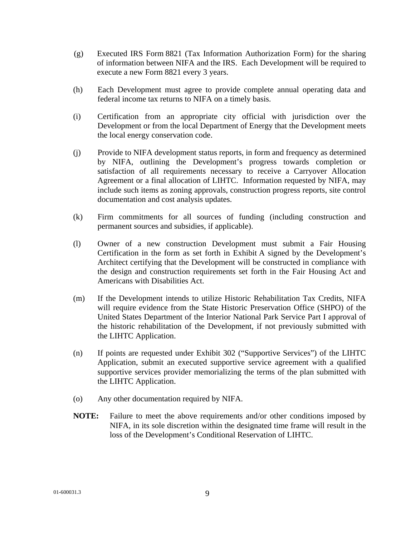- (g) Executed IRS Form 8821 (Tax Information Authorization Form) for the sharing of information between NIFA and the IRS. Each Development will be required to execute a new Form 8821 every 3 years.
- (h) Each Development must agree to provide complete annual operating data and federal income tax returns to NIFA on a timely basis.
- (i) Certification from an appropriate city official with jurisdiction over the Development or from the local Department of Energy that the Development meets the local energy conservation code.
- (j) Provide to NIFA development status reports, in form and frequency as determined by NIFA, outlining the Development's progress towards completion or satisfaction of all requirements necessary to receive a Carryover Allocation Agreement or a final allocation of LIHTC. Information requested by NIFA, may include such items as zoning approvals, construction progress reports, site control documentation and cost analysis updates.
- (k) Firm commitments for all sources of funding (including construction and permanent sources and subsidies, if applicable).
- (l) Owner of a new construction Development must submit a Fair Housing Certification in the form as set forth in Exhibit A signed by the Development's Architect certifying that the Development will be constructed in compliance with the design and construction requirements set forth in the Fair Housing Act and Americans with Disabilities Act.
- (m) If the Development intends to utilize Historic Rehabilitation Tax Credits, NIFA will require evidence from the State Historic Preservation Office (SHPO) of the United States Department of the Interior National Park Service Part I approval of the historic rehabilitation of the Development, if not previously submitted with the LIHTC Application.
- (n) If points are requested under Exhibit 302 ("Supportive Services") of the LIHTC Application, submit an executed supportive service agreement with a qualified supportive services provider memorializing the terms of the plan submitted with the LIHTC Application.
- (o) Any other documentation required by NIFA.
- **NOTE:** Failure to meet the above requirements and/or other conditions imposed by NIFA, in its sole discretion within the designated time frame will result in the loss of the Development's Conditional Reservation of LIHTC.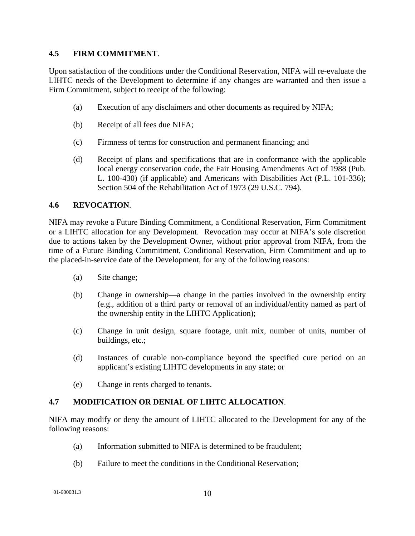#### **4.5 FIRM COMMITMENT**.

Upon satisfaction of the conditions under the Conditional Reservation, NIFA will re-evaluate the LIHTC needs of the Development to determine if any changes are warranted and then issue a Firm Commitment, subject to receipt of the following:

- (a) Execution of any disclaimers and other documents as required by NIFA;
- (b) Receipt of all fees due NIFA;
- (c) Firmness of terms for construction and permanent financing; and
- (d) Receipt of plans and specifications that are in conformance with the applicable local energy conservation code, the Fair Housing Amendments Act of 1988 (Pub. L. 100-430) (if applicable) and Americans with Disabilities Act (P.L. 101-336); Section 504 of the Rehabilitation Act of 1973 (29 U.S.C. 794).

#### **4.6 REVOCATION**.

NIFA may revoke a Future Binding Commitment, a Conditional Reservation, Firm Commitment or a LIHTC allocation for any Development. Revocation may occur at NIFA's sole discretion due to actions taken by the Development Owner, without prior approval from NIFA, from the time of a Future Binding Commitment, Conditional Reservation, Firm Commitment and up to the placed-in-service date of the Development, for any of the following reasons:

- (a) Site change;
- (b) Change in ownership—a change in the parties involved in the ownership entity (e.g., addition of a third party or removal of an individual/entity named as part of the ownership entity in the LIHTC Application);
- (c) Change in unit design, square footage, unit mix, number of units, number of buildings, etc.;
- (d) Instances of curable non-compliance beyond the specified cure period on an applicant's existing LIHTC developments in any state; or
- (e) Change in rents charged to tenants.

# **4.7 MODIFICATION OR DENIAL OF LIHTC ALLOCATION**.

NIFA may modify or deny the amount of LIHTC allocated to the Development for any of the following reasons:

- (a) Information submitted to NIFA is determined to be fraudulent;
- (b) Failure to meet the conditions in the Conditional Reservation;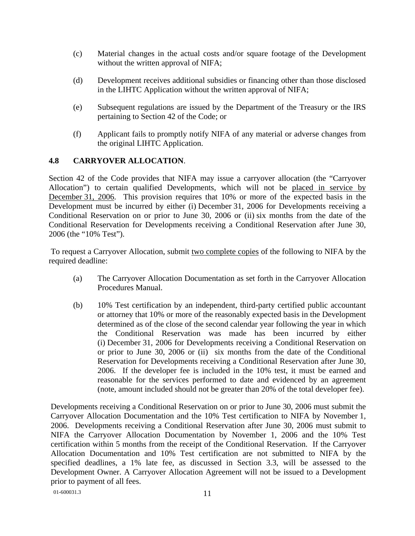- (c) Material changes in the actual costs and/or square footage of the Development without the written approval of NIFA;
- (d) Development receives additional subsidies or financing other than those disclosed in the LIHTC Application without the written approval of NIFA;
- (e) Subsequent regulations are issued by the Department of the Treasury or the IRS pertaining to Section 42 of the Code; or
- (f) Applicant fails to promptly notify NIFA of any material or adverse changes from the original LIHTC Application.

# **4.8 CARRYOVER ALLOCATION**.

Section 42 of the Code provides that NIFA may issue a carryover allocation (the "Carryover Allocation") to certain qualified Developments, which will not be placed in service by December 31, 2006. This provision requires that 10% or more of the expected basis in the Development must be incurred by either (i) December 31, 2006 for Developments receiving a Conditional Reservation on or prior to June 30, 2006 or (ii) six months from the date of the Conditional Reservation for Developments receiving a Conditional Reservation after June 30, 2006 (the "10% Test").

 To request a Carryover Allocation, submit two complete copies of the following to NIFA by the required deadline:

- (a) The Carryover Allocation Documentation as set forth in the Carryover Allocation Procedures Manual.
- (b) 10% Test certification by an independent, third-party certified public accountant or attorney that 10% or more of the reasonably expected basis in the Development determined as of the close of the second calendar year following the year in which the Conditional Reservation was made has been incurred by either (i) December 31, 2006 for Developments receiving a Conditional Reservation on or prior to June 30, 2006 or (ii) six months from the date of the Conditional Reservation for Developments receiving a Conditional Reservation after June 30, 2006. If the developer fee is included in the 10% test, it must be earned and reasonable for the services performed to date and evidenced by an agreement (note, amount included should not be greater than 20% of the total developer fee).

Developments receiving a Conditional Reservation on or prior to June 30, 2006 must submit the Carryover Allocation Documentation and the 10% Test certification to NIFA by November 1, 2006. Developments receiving a Conditional Reservation after June 30, 2006 must submit to NIFA the Carryover Allocation Documentation by November 1, 2006 and the 10% Test certification within 5 months from the receipt of the Conditional Reservation. If the Carryover Allocation Documentation and 10% Test certification are not submitted to NIFA by the specified deadlines, a 1% late fee, as discussed in Section 3.3, will be assessed to the Development Owner. A Carryover Allocation Agreement will not be issued to a Development prior to payment of all fees.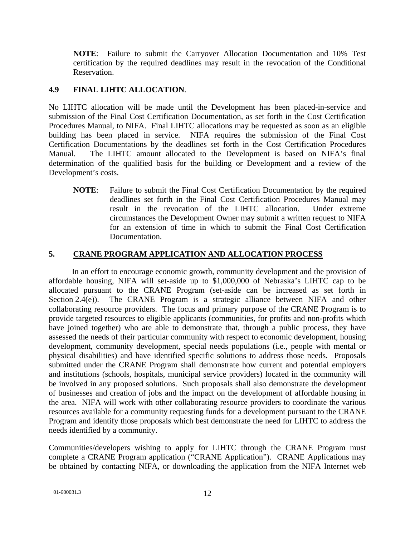**NOTE**: Failure to submit the Carryover Allocation Documentation and 10% Test certification by the required deadlines may result in the revocation of the Conditional Reservation.

## **4.9 FINAL LIHTC ALLOCATION**.

No LIHTC allocation will be made until the Development has been placed-in-service and submission of the Final Cost Certification Documentation, as set forth in the Cost Certification Procedures Manual, to NIFA. Final LIHTC allocations may be requested as soon as an eligible building has been placed in service. NIFA requires the submission of the Final Cost Certification Documentations by the deadlines set forth in the Cost Certification Procedures Manual. The LIHTC amount allocated to the Development is based on NIFA's final determination of the qualified basis for the building or Development and a review of the Development's costs.

**NOTE**: Failure to submit the Final Cost Certification Documentation by the required deadlines set forth in the Final Cost Certification Procedures Manual may result in the revocation of the LIHTC allocation. Under extreme circumstances the Development Owner may submit a written request to NIFA for an extension of time in which to submit the Final Cost Certification Documentation.

# **5. CRANE PROGRAM APPLICATION AND ALLOCATION PROCESS**

In an effort to encourage economic growth, community development and the provision of affordable housing, NIFA will set-aside up to \$1,000,000 of Nebraska's LIHTC cap to be allocated pursuant to the CRANE Program (set-aside can be increased as set forth in Section 2.4(e)). The CRANE Program is a strategic alliance between NIFA and other collaborating resource providers. The focus and primary purpose of the CRANE Program is to provide targeted resources to eligible applicants (communities, for profits and non-profits which have joined together) who are able to demonstrate that, through a public process, they have assessed the needs of their particular community with respect to economic development, housing development, community development, special needs populations (i.e., people with mental or physical disabilities) and have identified specific solutions to address those needs. Proposals submitted under the CRANE Program shall demonstrate how current and potential employers and institutions (schools, hospitals, municipal service providers) located in the community will be involved in any proposed solutions. Such proposals shall also demonstrate the development of businesses and creation of jobs and the impact on the development of affordable housing in the area. NIFA will work with other collaborating resource providers to coordinate the various resources available for a community requesting funds for a development pursuant to the CRANE Program and identify those proposals which best demonstrate the need for LIHTC to address the needs identified by a community.

Communities/developers wishing to apply for LIHTC through the CRANE Program must complete a CRANE Program application ("CRANE Application"). CRANE Applications may be obtained by contacting NIFA, or downloading the application from the NIFA Internet web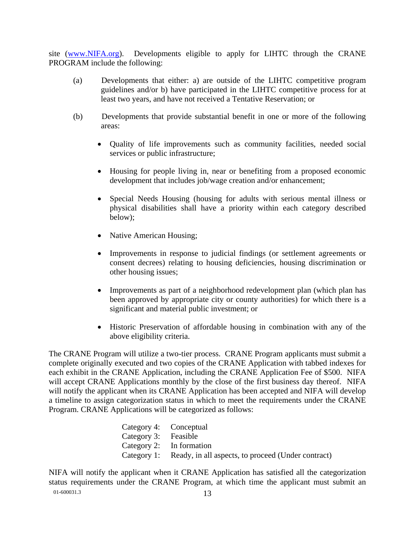site (www.NIFA.org). Developments eligible to apply for LIHTC through the CRANE PROGRAM include the following:

- (a) Developments that either: a) are outside of the LIHTC competitive program guidelines and/or b) have participated in the LIHTC competitive process for at least two years, and have not received a Tentative Reservation; or
- (b) Developments that provide substantial benefit in one or more of the following areas:
	- Quality of life improvements such as community facilities, needed social services or public infrastructure;
	- Housing for people living in, near or benefiting from a proposed economic development that includes job/wage creation and/or enhancement;
	- Special Needs Housing (housing for adults with serious mental illness or physical disabilities shall have a priority within each category described below);
	- Native American Housing;
	- Improvements in response to judicial findings (or settlement agreements or consent decrees) relating to housing deficiencies, housing discrimination or other housing issues;
	- Improvements as part of a neighborhood redevelopment plan (which plan has been approved by appropriate city or county authorities) for which there is a significant and material public investment; or
	- Historic Preservation of affordable housing in combination with any of the above eligibility criteria.

The CRANE Program will utilize a two-tier process. CRANE Program applicants must submit a complete originally executed and two copies of the CRANE Application with tabbed indexes for each exhibit in the CRANE Application, including the CRANE Application Fee of \$500. NIFA will accept CRANE Applications monthly by the close of the first business day thereof. NIFA will notify the applicant when its CRANE Application has been accepted and NIFA will develop a timeline to assign categorization status in which to meet the requirements under the CRANE Program. CRANE Applications will be categorized as follows:

| Category 4: Conceptual |                                                                |
|------------------------|----------------------------------------------------------------|
| Category 3: Feasible   |                                                                |
|                        | Category 2: In formation                                       |
|                        | Category 1: Ready, in all aspects, to proceed (Under contract) |

01-600031.3 13 NIFA will notify the applicant when it CRANE Application has satisfied all the categorization status requirements under the CRANE Program, at which time the applicant must submit an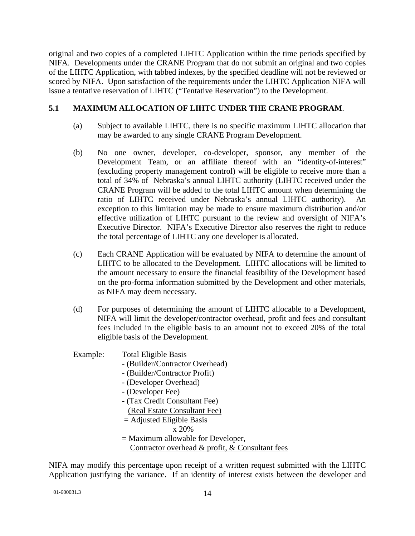original and two copies of a completed LIHTC Application within the time periods specified by NIFA. Developments under the CRANE Program that do not submit an original and two copies of the LIHTC Application, with tabbed indexes, by the specified deadline will not be reviewed or scored by NIFA. Upon satisfaction of the requirements under the LIHTC Application NIFA will issue a tentative reservation of LIHTC ("Tentative Reservation") to the Development.

# **5.1 MAXIMUM ALLOCATION OF LIHTC UNDER THE CRANE PROGRAM**.

- (a) Subject to available LIHTC, there is no specific maximum LIHTC allocation that may be awarded to any single CRANE Program Development.
- (b) No one owner, developer, co-developer, sponsor, any member of the Development Team, or an affiliate thereof with an "identity-of-interest" (excluding property management control) will be eligible to receive more than a total of 34% of Nebraska's annual LIHTC authority (LIHTC received under the CRANE Program will be added to the total LIHTC amount when determining the ratio of LIHTC received under Nebraska's annual LIHTC authority). An exception to this limitation may be made to ensure maximum distribution and/or effective utilization of LIHTC pursuant to the review and oversight of NIFA's Executive Director. NIFA's Executive Director also reserves the right to reduce the total percentage of LIHTC any one developer is allocated.
- (c) Each CRANE Application will be evaluated by NIFA to determine the amount of LIHTC to be allocated to the Development. LIHTC allocations will be limited to the amount necessary to ensure the financial feasibility of the Development based on the pro-forma information submitted by the Development and other materials, as NIFA may deem necessary.
- (d) For purposes of determining the amount of LIHTC allocable to a Development, NIFA will limit the developer/contractor overhead, profit and fees and consultant fees included in the eligible basis to an amount not to exceed 20% of the total eligible basis of the Development.

# Example: Total Eligible Basis

- (Builder/Contractor Overhead)
- (Builder/Contractor Profit)
- (Developer Overhead)
- (Developer Fee)
- (Tax Credit Consultant Fee)
	- (Real Estate Consultant Fee)
- = Adjusted Eligible Basis
	- x 20%
- = Maximum allowable for Developer,
	- Contractor overhead & profit, & Consultant fees

NIFA may modify this percentage upon receipt of a written request submitted with the LIHTC Application justifying the variance. If an identity of interest exists between the developer and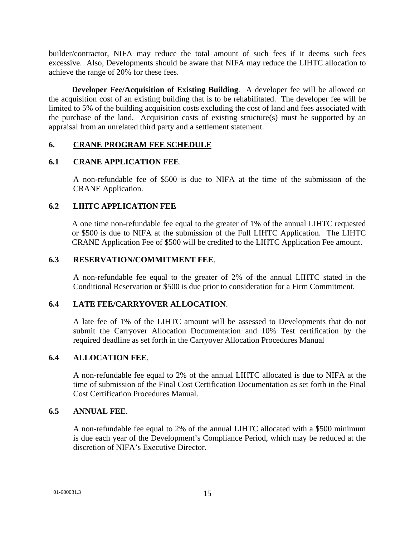builder/contractor, NIFA may reduce the total amount of such fees if it deems such fees excessive. Also, Developments should be aware that NIFA may reduce the LIHTC allocation to achieve the range of 20% for these fees.

**Developer Fee/Acquisition of Existing Building**. A developer fee will be allowed on the acquisition cost of an existing building that is to be rehabilitated. The developer fee will be limited to 5% of the building acquisition costs excluding the cost of land and fees associated with the purchase of the land. Acquisition costs of existing structure(s) must be supported by an appraisal from an unrelated third party and a settlement statement.

#### **6. CRANE PROGRAM FEE SCHEDULE**

#### **6.1 CRANE APPLICATION FEE**.

A non-refundable fee of \$500 is due to NIFA at the time of the submission of the CRANE Application.

# **6.2 LIHTC APPLICATION FEE**

A one time non-refundable fee equal to the greater of 1% of the annual LIHTC requested or \$500 is due to NIFA at the submission of the Full LIHTC Application. The LIHTC CRANE Application Fee of \$500 will be credited to the LIHTC Application Fee amount.

#### **6.3 RESERVATION/COMMITMENT FEE**.

A non-refundable fee equal to the greater of 2% of the annual LIHTC stated in the Conditional Reservation or \$500 is due prior to consideration for a Firm Commitment.

#### **6.4 LATE FEE/CARRYOVER ALLOCATION**.

A late fee of 1% of the LIHTC amount will be assessed to Developments that do not submit the Carryover Allocation Documentation and 10% Test certification by the required deadline as set forth in the Carryover Allocation Procedures Manual

#### **6.4 ALLOCATION FEE**.

A non-refundable fee equal to 2% of the annual LIHTC allocated is due to NIFA at the time of submission of the Final Cost Certification Documentation as set forth in the Final Cost Certification Procedures Manual.

#### **6.5 ANNUAL FEE**.

A non-refundable fee equal to 2% of the annual LIHTC allocated with a \$500 minimum is due each year of the Development's Compliance Period, which may be reduced at the discretion of NIFA's Executive Director.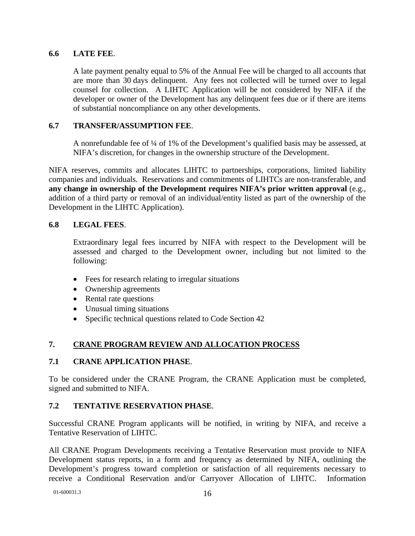## **6.6 LATE FEE**.

A late payment penalty equal to 5% of the Annual Fee will be charged to all accounts that are more than 30 days delinquent. Any fees not collected will be turned over to legal counsel for collection. A LIHTC Application will be not considered by NIFA if the developer or owner of the Development has any delinquent fees due or if there are items of substantial noncompliance on any other developments.

#### **6.7 TRANSFER/ASSUMPTION FEE**.

A nonrefundable fee of ¼ of 1% of the Development's qualified basis may be assessed, at NIFA's discretion, for changes in the ownership structure of the Development.

NIFA reserves, commits and allocates LIHTC to partnerships, corporations, limited liability companies and individuals. Reservations and commitments of LIHTCs are non-transferable, and **any change in ownership of the Development requires NIFA's prior written approval** (e.g., addition of a third party or removal of an individual/entity listed as part of the ownership of the Development in the LIHTC Application).

#### **6.8 LEGAL FEES**.

Extraordinary legal fees incurred by NIFA with respect to the Development will be assessed and charged to the Development owner, including but not limited to the following:

- Fees for research relating to irregular situations
- Ownership agreements
- Rental rate questions
- Unusual timing situations
- Specific technical questions related to Code Section 42

# **7. CRANE PROGRAM REVIEW AND ALLOCATION PROCESS**

# **7.1 CRANE APPLICATION PHASE**.

To be considered under the CRANE Program, the CRANE Application must be completed, signed and submitted to NIFA.

# **7.2 TENTATIVE RESERVATION PHASE**.

Successful CRANE Program applicants will be notified, in writing by NIFA, and receive a Tentative Reservation of LIHTC.

All CRANE Program Developments receiving a Tentative Reservation must provide to NIFA Development status reports, in a form and frequency as determined by NIFA, outlining the Development's progress toward completion or satisfaction of all requirements necessary to receive a Conditional Reservation and/or Carryover Allocation of LIHTC. Information

01-600031.3 16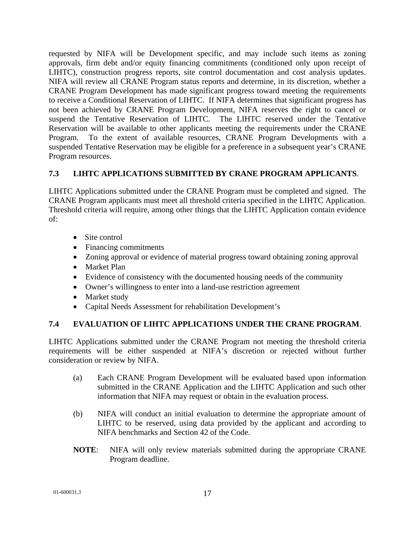requested by NIFA will be Development specific, and may include such items as zoning approvals, firm debt and/or equity financing commitments (conditioned only upon receipt of LIHTC), construction progress reports, site control documentation and cost analysis updates. NIFA will review all CRANE Program status reports and determine, in its discretion, whether a CRANE Program Development has made significant progress toward meeting the requirements to receive a Conditional Reservation of LIHTC. If NIFA determines that significant progress has not been achieved by CRANE Program Development, NIFA reserves the right to cancel or suspend the Tentative Reservation of LIHTC. The LIHTC reserved under the Tentative Reservation will be available to other applicants meeting the requirements under the CRANE Program. To the extent of available resources, CRANE Program Developments with a suspended Tentative Reservation may be eligible for a preference in a subsequent year's CRANE Program resources.

# **7.3 LIHTC APPLICATIONS SUBMITTED BY CRANE PROGRAM APPLICANTS**.

LIHTC Applications submitted under the CRANE Program must be completed and signed. The CRANE Program applicants must meet all threshold criteria specified in the LIHTC Application. Threshold criteria will require, among other things that the LIHTC Application contain evidence of:

- Site control
- Financing commitments
- Zoning approval or evidence of material progress toward obtaining zoning approval
- Market Plan
- Evidence of consistency with the documented housing needs of the community
- Owner's willingness to enter into a land-use restriction agreement
- Market study
- Capital Needs Assessment for rehabilitation Development's

# **7.4 EVALUATION OF LIHTC APPLICATIONS UNDER THE CRANE PROGRAM**.

LIHTC Applications submitted under the CRANE Program not meeting the threshold criteria requirements will be either suspended at NIFA's discretion or rejected without further consideration or review by NIFA.

- (a) Each CRANE Program Development will be evaluated based upon information submitted in the CRANE Application and the LIHTC Application and such other information that NIFA may request or obtain in the evaluation process.
- (b) NIFA will conduct an initial evaluation to determine the appropriate amount of LIHTC to be reserved, using data provided by the applicant and according to NIFA benchmarks and Section 42 of the Code.
- **NOTE**: NIFA will only review materials submitted during the appropriate CRANE Program deadline.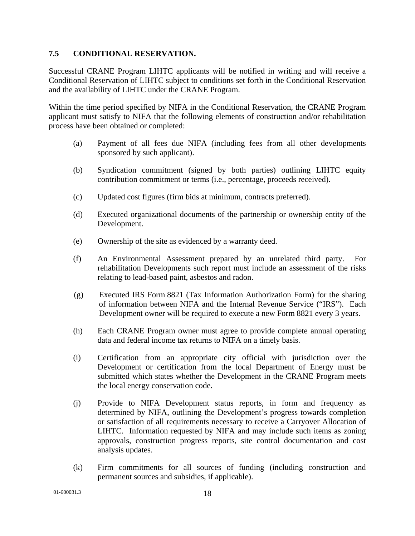#### **7.5 CONDITIONAL RESERVATION.**

Successful CRANE Program LIHTC applicants will be notified in writing and will receive a Conditional Reservation of LIHTC subject to conditions set forth in the Conditional Reservation and the availability of LIHTC under the CRANE Program.

Within the time period specified by NIFA in the Conditional Reservation, the CRANE Program applicant must satisfy to NIFA that the following elements of construction and/or rehabilitation process have been obtained or completed:

- (a) Payment of all fees due NIFA (including fees from all other developments sponsored by such applicant).
- (b) Syndication commitment (signed by both parties) outlining LIHTC equity contribution commitment or terms (i.e., percentage, proceeds received).
- (c) Updated cost figures (firm bids at minimum, contracts preferred).
- (d) Executed organizational documents of the partnership or ownership entity of the Development.
- (e) Ownership of the site as evidenced by a warranty deed.
- (f) An Environmental Assessment prepared by an unrelated third party. For rehabilitation Developments such report must include an assessment of the risks relating to lead-based paint, asbestos and radon.
- (g) Executed IRS Form 8821 (Tax Information Authorization Form) for the sharing of information between NIFA and the Internal Revenue Service ("IRS"). Each Development owner will be required to execute a new Form 8821 every 3 years.
- (h) Each CRANE Program owner must agree to provide complete annual operating data and federal income tax returns to NIFA on a timely basis.
- (i) Certification from an appropriate city official with jurisdiction over the Development or certification from the local Department of Energy must be submitted which states whether the Development in the CRANE Program meets the local energy conservation code.
- (j) Provide to NIFA Development status reports, in form and frequency as determined by NIFA, outlining the Development's progress towards completion or satisfaction of all requirements necessary to receive a Carryover Allocation of LIHTC. Information requested by NIFA and may include such items as zoning approvals, construction progress reports, site control documentation and cost analysis updates.
- (k) Firm commitments for all sources of funding (including construction and permanent sources and subsidies, if applicable).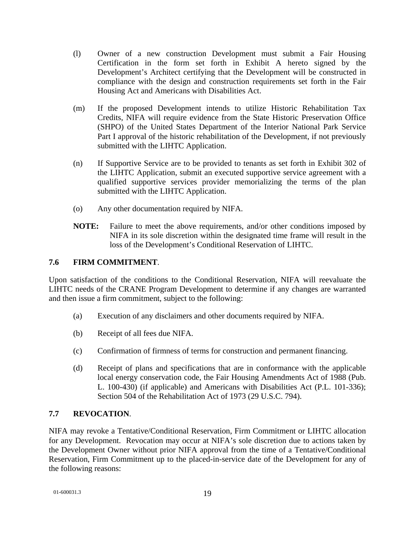- (l) Owner of a new construction Development must submit a Fair Housing Certification in the form set forth in Exhibit A hereto signed by the Development's Architect certifying that the Development will be constructed in compliance with the design and construction requirements set forth in the Fair Housing Act and Americans with Disabilities Act.
- (m) If the proposed Development intends to utilize Historic Rehabilitation Tax Credits, NIFA will require evidence from the State Historic Preservation Office (SHPO) of the United States Department of the Interior National Park Service Part I approval of the historic rehabilitation of the Development, if not previously submitted with the LIHTC Application.
- (n) If Supportive Service are to be provided to tenants as set forth in Exhibit 302 of the LIHTC Application, submit an executed supportive service agreement with a qualified supportive services provider memorializing the terms of the plan submitted with the LIHTC Application.
- (o) Any other documentation required by NIFA.
- **NOTE:** Failure to meet the above requirements, and/or other conditions imposed by NIFA in its sole discretion within the designated time frame will result in the loss of the Development's Conditional Reservation of LIHTC.

# **7.6 FIRM COMMITMENT**.

Upon satisfaction of the conditions to the Conditional Reservation, NIFA will reevaluate the LIHTC needs of the CRANE Program Development to determine if any changes are warranted and then issue a firm commitment, subject to the following:

- (a) Execution of any disclaimers and other documents required by NIFA.
- (b) Receipt of all fees due NIFA.
- (c) Confirmation of firmness of terms for construction and permanent financing.
- (d) Receipt of plans and specifications that are in conformance with the applicable local energy conservation code, the Fair Housing Amendments Act of 1988 (Pub. L. 100-430) (if applicable) and Americans with Disabilities Act (P.L. 101-336); Section 504 of the Rehabilitation Act of 1973 (29 U.S.C. 794).

# **7.7 REVOCATION**.

NIFA may revoke a Tentative/Conditional Reservation, Firm Commitment or LIHTC allocation for any Development. Revocation may occur at NIFA's sole discretion due to actions taken by the Development Owner without prior NIFA approval from the time of a Tentative/Conditional Reservation, Firm Commitment up to the placed-in-service date of the Development for any of the following reasons: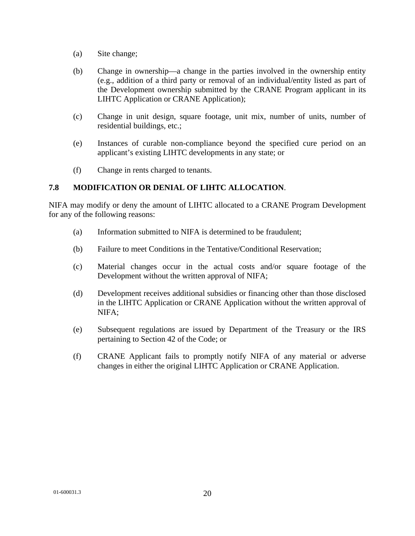- (a) Site change;
- (b) Change in ownership—a change in the parties involved in the ownership entity (e.g., addition of a third party or removal of an individual/entity listed as part of the Development ownership submitted by the CRANE Program applicant in its LIHTC Application or CRANE Application);
- (c) Change in unit design, square footage, unit mix, number of units, number of residential buildings, etc.;
- (e) Instances of curable non-compliance beyond the specified cure period on an applicant's existing LIHTC developments in any state; or
- (f) Change in rents charged to tenants.

# **7.8 MODIFICATION OR DENIAL OF LIHTC ALLOCATION**.

NIFA may modify or deny the amount of LIHTC allocated to a CRANE Program Development for any of the following reasons:

- (a) Information submitted to NIFA is determined to be fraudulent;
- (b) Failure to meet Conditions in the Tentative/Conditional Reservation;
- (c) Material changes occur in the actual costs and/or square footage of the Development without the written approval of NIFA;
- (d) Development receives additional subsidies or financing other than those disclosed in the LIHTC Application or CRANE Application without the written approval of NIFA;
- (e) Subsequent regulations are issued by Department of the Treasury or the IRS pertaining to Section 42 of the Code; or
- (f) CRANE Applicant fails to promptly notify NIFA of any material or adverse changes in either the original LIHTC Application or CRANE Application.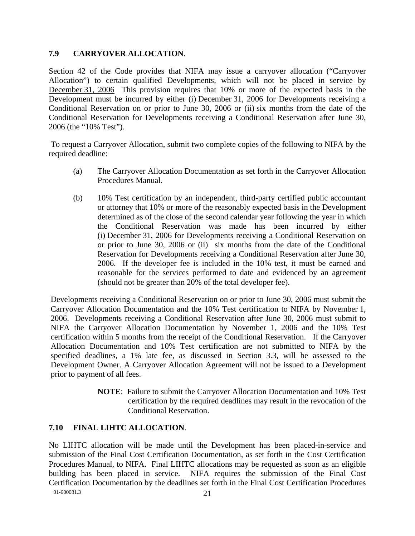#### **7.9 CARRYOVER ALLOCATION**.

Section 42 of the Code provides that NIFA may issue a carryover allocation ("Carryover Allocation") to certain qualified Developments, which will not be placed in service by December 31, 2006 This provision requires that 10% or more of the expected basis in the Development must be incurred by either (i) December 31, 2006 for Developments receiving a Conditional Reservation on or prior to June 30, 2006 or (ii) six months from the date of the Conditional Reservation for Developments receiving a Conditional Reservation after June 30, 2006 (the "10% Test").

 To request a Carryover Allocation, submit two complete copies of the following to NIFA by the required deadline:

- (a) The Carryover Allocation Documentation as set forth in the Carryover Allocation Procedures Manual.
- (b) 10% Test certification by an independent, third-party certified public accountant or attorney that 10% or more of the reasonably expected basis in the Development determined as of the close of the second calendar year following the year in which the Conditional Reservation was made has been incurred by either (i) December 31, 2006 for Developments receiving a Conditional Reservation on or prior to June 30, 2006 or (ii) six months from the date of the Conditional Reservation for Developments receiving a Conditional Reservation after June 30, 2006. If the developer fee is included in the 10% test, it must be earned and reasonable for the services performed to date and evidenced by an agreement (should not be greater than 20% of the total developer fee).

Developments receiving a Conditional Reservation on or prior to June 30, 2006 must submit the Carryover Allocation Documentation and the 10% Test certification to NIFA by November 1, 2006. Developments receiving a Conditional Reservation after June 30, 2006 must submit to NIFA the Carryover Allocation Documentation by November 1, 2006 and the 10% Test certification within 5 months from the receipt of the Conditional Reservation. If the Carryover Allocation Documentation and 10% Test certification are not submitted to NIFA by the specified deadlines, a 1% late fee, as discussed in Section 3.3, will be assessed to the Development Owner. A Carryover Allocation Agreement will not be issued to a Development prior to payment of all fees.

> **NOTE**: Failure to submit the Carryover Allocation Documentation and 10% Test certification by the required deadlines may result in the revocation of the Conditional Reservation.

# **7.10 FINAL LIHTC ALLOCATION**.

01-600031.3 21 No LIHTC allocation will be made until the Development has been placed-in-service and submission of the Final Cost Certification Documentation, as set forth in the Cost Certification Procedures Manual, to NIFA. Final LIHTC allocations may be requested as soon as an eligible building has been placed in service. NIFA requires the submission of the Final Cost Certification Documentation by the deadlines set forth in the Final Cost Certification Procedures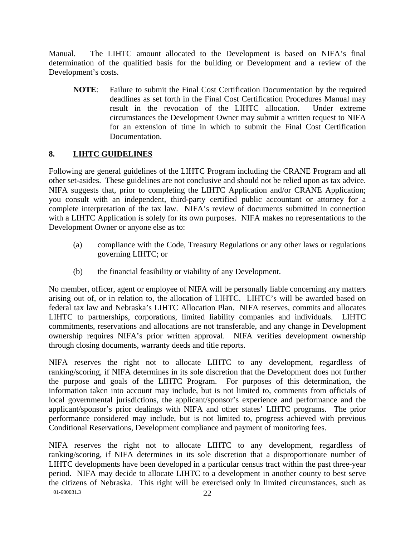Manual. The LIHTC amount allocated to the Development is based on NIFA's final determination of the qualified basis for the building or Development and a review of the Development's costs.

**NOTE**: Failure to submit the Final Cost Certification Documentation by the required deadlines as set forth in the Final Cost Certification Procedures Manual may result in the revocation of the LIHTC allocation. Under extreme circumstances the Development Owner may submit a written request to NIFA for an extension of time in which to submit the Final Cost Certification Documentation.

# **8. LIHTC GUIDELINES**

Following are general guidelines of the LIHTC Program including the CRANE Program and all other set-asides. These guidelines are not conclusive and should not be relied upon as tax advice. NIFA suggests that, prior to completing the LIHTC Application and/or CRANE Application; you consult with an independent, third-party certified public accountant or attorney for a complete interpretation of the tax law. NIFA's review of documents submitted in connection with a LIHTC Application is solely for its own purposes. NIFA makes no representations to the Development Owner or anyone else as to:

- (a) compliance with the Code, Treasury Regulations or any other laws or regulations governing LIHTC; or
- (b) the financial feasibility or viability of any Development.

No member, officer, agent or employee of NIFA will be personally liable concerning any matters arising out of, or in relation to, the allocation of LIHTC. LIHTC's will be awarded based on federal tax law and Nebraska's LIHTC Allocation Plan. NIFA reserves, commits and allocates LIHTC to partnerships, corporations, limited liability companies and individuals. LIHTC commitments, reservations and allocations are not transferable, and any change in Development ownership requires NIFA's prior written approval. NIFA verifies development ownership through closing documents, warranty deeds and title reports.

NIFA reserves the right not to allocate LIHTC to any development, regardless of ranking/scoring, if NIFA determines in its sole discretion that the Development does not further the purpose and goals of the LIHTC Program. For purposes of this determination, the information taken into account may include, but is not limited to, comments from officials of local governmental jurisdictions, the applicant/sponsor's experience and performance and the applicant/sponsor's prior dealings with NIFA and other states' LIHTC programs. The prior performance considered may include, but is not limited to, progress achieved with previous Conditional Reservations, Development compliance and payment of monitoring fees.

01-600031.3 22 NIFA reserves the right not to allocate LIHTC to any development, regardless of ranking/scoring, if NIFA determines in its sole discretion that a disproportionate number of LIHTC developments have been developed in a particular census tract within the past three-year period. NIFA may decide to allocate LIHTC to a development in another county to best serve the citizens of Nebraska. This right will be exercised only in limited circumstances, such as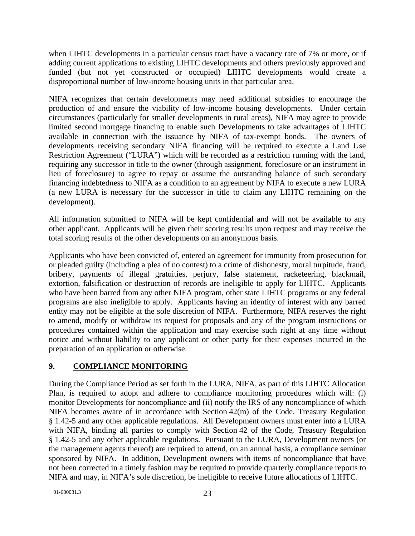when LIHTC developments in a particular census tract have a vacancy rate of 7% or more, or if adding current applications to existing LIHTC developments and others previously approved and funded (but not yet constructed or occupied) LIHTC developments would create a disproportional number of low-income housing units in that particular area.

NIFA recognizes that certain developments may need additional subsidies to encourage the production of and ensure the viability of low-income housing developments. Under certain circumstances (particularly for smaller developments in rural areas), NIFA may agree to provide limited second mortgage financing to enable such Developments to take advantages of LIHTC available in connection with the issuance by NIFA of tax-exempt bonds. The owners of developments receiving secondary NIFA financing will be required to execute a Land Use Restriction Agreement ("LURA") which will be recorded as a restriction running with the land, requiring any successor in title to the owner (through assignment, foreclosure or an instrument in lieu of foreclosure) to agree to repay or assume the outstanding balance of such secondary financing indebtedness to NIFA as a condition to an agreement by NIFA to execute a new LURA (a new LURA is necessary for the successor in title to claim any LIHTC remaining on the development).

All information submitted to NIFA will be kept confidential and will not be available to any other applicant. Applicants will be given their scoring results upon request and may receive the total scoring results of the other developments on an anonymous basis.

Applicants who have been convicted of, entered an agreement for immunity from prosecution for or pleaded guilty (including a plea of no contest) to a crime of dishonesty, moral turpitude, fraud, bribery, payments of illegal gratuities, perjury, false statement, racketeering, blackmail, extortion, falsification or destruction of records are ineligible to apply for LIHTC. Applicants who have been barred from any other NIFA program, other state LIHTC programs or any federal programs are also ineligible to apply. Applicants having an identity of interest with any barred entity may not be eligible at the sole discretion of NIFA. Furthermore, NIFA reserves the right to amend, modify or withdraw its request for proposals and any of the program instructions or procedures contained within the application and may exercise such right at any time without notice and without liability to any applicant or other party for their expenses incurred in the preparation of an application or otherwise.

# **9. COMPLIANCE MONITORING**

During the Compliance Period as set forth in the LURA, NIFA, as part of this LIHTC Allocation Plan, is required to adopt and adhere to compliance monitoring procedures which will: (i) monitor Developments for noncompliance and (ii) notify the IRS of any noncompliance of which NIFA becomes aware of in accordance with Section 42(m) of the Code, Treasury Regulation § 1.42-5 and any other applicable regulations. All Development owners must enter into a LURA with NIFA, binding all parties to comply with Section 42 of the Code, Treasury Regulation § 1.42-5 and any other applicable regulations. Pursuant to the LURA, Development owners (or the management agents thereof) are required to attend, on an annual basis, a compliance seminar sponsored by NIFA. In addition, Development owners with items of noncompliance that have not been corrected in a timely fashion may be required to provide quarterly compliance reports to NIFA and may, in NIFA's sole discretion, be ineligible to receive future allocations of LIHTC.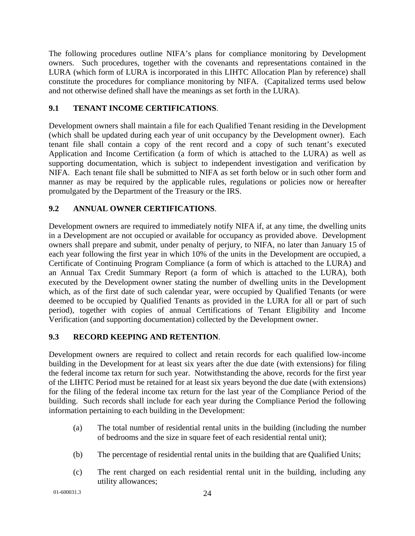The following procedures outline NIFA's plans for compliance monitoring by Development owners. Such procedures, together with the covenants and representations contained in the LURA (which form of LURA is incorporated in this LIHTC Allocation Plan by reference) shall constitute the procedures for compliance monitoring by NIFA. (Capitalized terms used below and not otherwise defined shall have the meanings as set forth in the LURA).

# **9.1 TENANT INCOME CERTIFICATIONS**.

Development owners shall maintain a file for each Qualified Tenant residing in the Development (which shall be updated during each year of unit occupancy by the Development owner). Each tenant file shall contain a copy of the rent record and a copy of such tenant's executed Application and Income Certification (a form of which is attached to the LURA) as well as supporting documentation, which is subject to independent investigation and verification by NIFA. Each tenant file shall be submitted to NIFA as set forth below or in such other form and manner as may be required by the applicable rules, regulations or policies now or hereafter promulgated by the Department of the Treasury or the IRS.

# **9.2 ANNUAL OWNER CERTIFICATIONS**.

Development owners are required to immediately notify NIFA if, at any time, the dwelling units in a Development are not occupied or available for occupancy as provided above. Development owners shall prepare and submit, under penalty of perjury, to NIFA, no later than January 15 of each year following the first year in which 10% of the units in the Development are occupied, a Certificate of Continuing Program Compliance (a form of which is attached to the LURA) and an Annual Tax Credit Summary Report (a form of which is attached to the LURA), both executed by the Development owner stating the number of dwelling units in the Development which, as of the first date of such calendar year, were occupied by Qualified Tenants (or were deemed to be occupied by Qualified Tenants as provided in the LURA for all or part of such period), together with copies of annual Certifications of Tenant Eligibility and Income Verification (and supporting documentation) collected by the Development owner.

# **9.3 RECORD KEEPING AND RETENTION**.

Development owners are required to collect and retain records for each qualified low-income building in the Development for at least six years after the due date (with extensions) for filing the federal income tax return for such year. Notwithstanding the above, records for the first year of the LIHTC Period must be retained for at least six years beyond the due date (with extensions) for the filing of the federal income tax return for the last year of the Compliance Period of the building. Such records shall include for each year during the Compliance Period the following information pertaining to each building in the Development:

- (a) The total number of residential rental units in the building (including the number of bedrooms and the size in square feet of each residential rental unit);
- (b) The percentage of residential rental units in the building that are Qualified Units;
- (c) The rent charged on each residential rental unit in the building, including any utility allowances;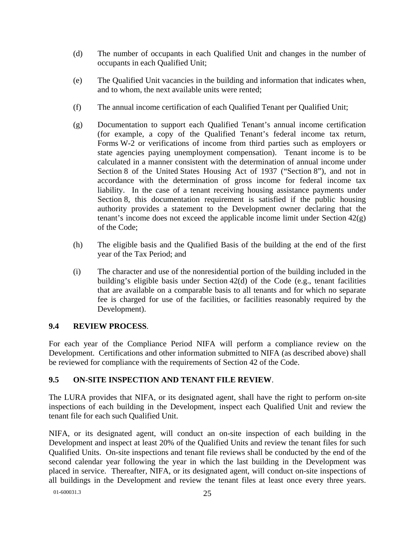- (d) The number of occupants in each Qualified Unit and changes in the number of occupants in each Qualified Unit;
- (e) The Qualified Unit vacancies in the building and information that indicates when, and to whom, the next available units were rented;
- (f) The annual income certification of each Qualified Tenant per Qualified Unit;
- (g) Documentation to support each Qualified Tenant's annual income certification (for example, a copy of the Qualified Tenant's federal income tax return, Forms W-2 or verifications of income from third parties such as employers or state agencies paying unemployment compensation). Tenant income is to be calculated in a manner consistent with the determination of annual income under Section 8 of the United States Housing Act of 1937 ("Section 8"), and not in accordance with the determination of gross income for federal income tax liability. In the case of a tenant receiving housing assistance payments under Section 8, this documentation requirement is satisfied if the public housing authority provides a statement to the Development owner declaring that the tenant's income does not exceed the applicable income limit under Section  $42(g)$ of the Code;
- (h) The eligible basis and the Qualified Basis of the building at the end of the first year of the Tax Period; and
- (i) The character and use of the nonresidential portion of the building included in the building's eligible basis under Section 42(d) of the Code (e.g., tenant facilities that are available on a comparable basis to all tenants and for which no separate fee is charged for use of the facilities, or facilities reasonably required by the Development).

# **9.4 REVIEW PROCESS**.

For each year of the Compliance Period NIFA will perform a compliance review on the Development. Certifications and other information submitted to NIFA (as described above) shall be reviewed for compliance with the requirements of Section 42 of the Code.

# **9.5 ON-SITE INSPECTION AND TENANT FILE REVIEW**.

The LURA provides that NIFA, or its designated agent, shall have the right to perform on-site inspections of each building in the Development, inspect each Qualified Unit and review the tenant file for each such Qualified Unit.

NIFA, or its designated agent, will conduct an on-site inspection of each building in the Development and inspect at least 20% of the Qualified Units and review the tenant files for such Qualified Units. On-site inspections and tenant file reviews shall be conducted by the end of the second calendar year following the year in which the last building in the Development was placed in service. Thereafter, NIFA, or its designated agent, will conduct on-site inspections of all buildings in the Development and review the tenant files at least once every three years.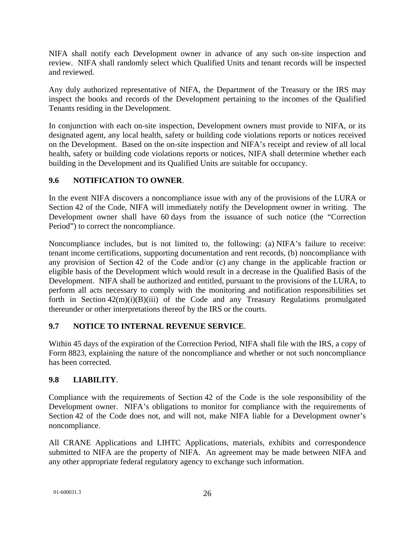NIFA shall notify each Development owner in advance of any such on-site inspection and review. NIFA shall randomly select which Qualified Units and tenant records will be inspected and reviewed.

Any duly authorized representative of NIFA, the Department of the Treasury or the IRS may inspect the books and records of the Development pertaining to the incomes of the Qualified Tenants residing in the Development.

In conjunction with each on-site inspection, Development owners must provide to NIFA, or its designated agent, any local health, safety or building code violations reports or notices received on the Development. Based on the on-site inspection and NIFA's receipt and review of all local health, safety or building code violations reports or notices, NIFA shall determine whether each building in the Development and its Qualified Units are suitable for occupancy.

# **9.6 NOTIFICATION TO OWNER**.

In the event NIFA discovers a noncompliance issue with any of the provisions of the LURA or Section 42 of the Code, NIFA will immediately notify the Development owner in writing. The Development owner shall have 60 days from the issuance of such notice (the "Correction Period") to correct the noncompliance.

Noncompliance includes, but is not limited to, the following: (a) NIFA's failure to receive: tenant income certifications, supporting documentation and rent records, (b) noncompliance with any provision of Section 42 of the Code and/or (c) any change in the applicable fraction or eligible basis of the Development which would result in a decrease in the Qualified Basis of the Development. NIFA shall be authorized and entitled, pursuant to the provisions of the LURA, to perform all acts necessary to comply with the monitoring and notification responsibilities set forth in Section  $42(m)(i)(B)(iii)$  of the Code and any Treasury Regulations promulgated thereunder or other interpretations thereof by the IRS or the courts.

# **9.7 NOTICE TO INTERNAL REVENUE SERVICE**.

Within 45 days of the expiration of the Correction Period, NIFA shall file with the IRS, a copy of Form 8823, explaining the nature of the noncompliance and whether or not such noncompliance has been corrected.

# **9.8 LIABILITY**.

Compliance with the requirements of Section 42 of the Code is the sole responsibility of the Development owner. NIFA's obligations to monitor for compliance with the requirements of Section 42 of the Code does not, and will not, make NIFA liable for a Development owner's noncompliance.

All CRANE Applications and LIHTC Applications, materials, exhibits and correspondence submitted to NIFA are the property of NIFA. An agreement may be made between NIFA and any other appropriate federal regulatory agency to exchange such information.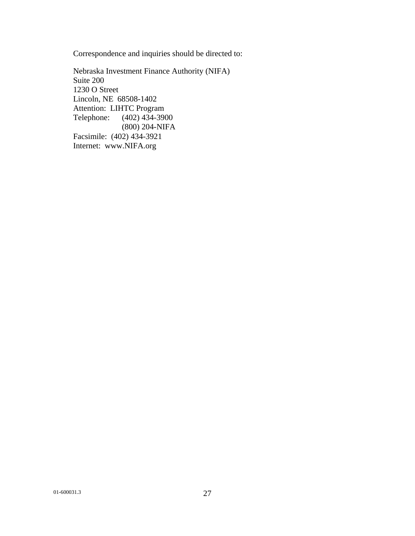Correspondence and inquiries should be directed to:

Nebraska Investment Finance Authority (NIFA) Suite 200 1230 O Street Lincoln, NE 68508-1402 Attention: LIHTC Program Telephone: (402) 434-3900 (800) 204-NIFA Facsimile: (402) 434-3921 Internet: www.NIFA.org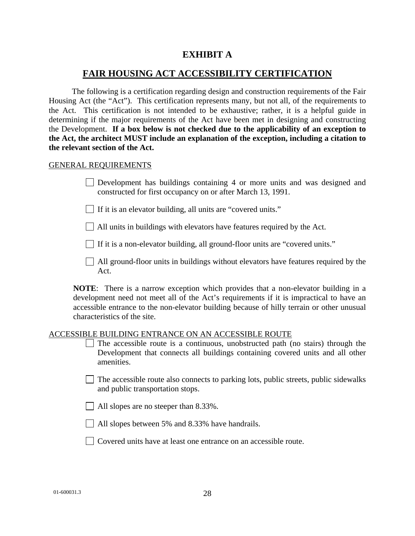# **EXHIBIT A**

# **FAIR HOUSING ACT ACCESSIBILITY CERTIFICATION**

The following is a certification regarding design and construction requirements of the Fair Housing Act (the "Act"). This certification represents many, but not all, of the requirements to the Act. This certification is not intended to be exhaustive; rather, it is a helpful guide in determining if the major requirements of the Act have been met in designing and constructing the Development. **If a box below is not checked due to the applicability of an exception to the Act, the architect MUST include an explanation of the exception, including a citation to the relevant section of the Act.**

#### GENERAL REQUIREMENTS

Development has buildings containing 4 or more units and was designed and constructed for first occupancy on or after March 13, 1991.

If it is an elevator building, all units are "covered units."

All units in buildings with elevators have features required by the Act.

If it is a non-elevator building, all ground-floor units are "covered units."

All ground-floor units in buildings without elevators have features required by the Act.

**NOTE**: There is a narrow exception which provides that a non-elevator building in a development need not meet all of the Act's requirements if it is impractical to have an accessible entrance to the non-elevator building because of hilly terrain or other unusual characteristics of the site.

#### ACCESSIBLE BUILDING ENTRANCE ON AN ACCESSIBLE ROUTE

- $\Box$  The accessible route is a continuous, unobstructed path (no stairs) through the Development that connects all buildings containing covered units and all other amenities.
- $\Box$  The accessible route also connects to parking lots, public streets, public sidewalks and public transportation stops.
- All slopes are no steeper than 8.33%.
- All slopes between 5% and 8.33% have handrails.
- Covered units have at least one entrance on an accessible route.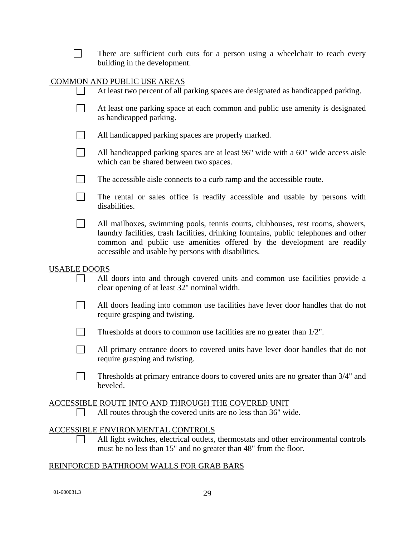| There are sufficient curb cuts for a person using a wheelchair to reach every     |
|-----------------------------------------------------------------------------------|
| building in the development.                                                      |
|                                                                                   |
| COMMON AND PUBLIC USE AREAS                                                       |
| At least two percent of all parking spaces are designated as handicapped parking. |

| At least one parking space at each common and public use amenity is designated |
|--------------------------------------------------------------------------------|
| as handicapped parking.                                                        |

- $\sim 1$ All handicapped parking spaces are properly marked.
- $\Box$ All handicapped parking spaces are at least 96" wide with a 60" wide access aisle which can be shared between two spaces.
- $\Box$ The accessible aisle connects to a curb ramp and the accessible route.
- $\Box$ The rental or sales office is readily accessible and usable by persons with disabilities.
- $\Box$ All mailboxes, swimming pools, tennis courts, clubhouses, rest rooms, showers, laundry facilities, trash facilities, drinking fountains, public telephones and other common and public use amenities offered by the development are readily accessible and usable by persons with disabilities.

#### USABLE DOORS

- All doors into and through covered units and common use facilities provide a clear opening of at least 32" nominal width.
- All doors leading into common use facilities have lever door handles that do not require grasping and twisting.
- $\mathbb{R}^n$ Thresholds at doors to common use facilities are no greater than 1/2".
- $\Box$ All primary entrance doors to covered units have lever door handles that do not require grasping and twisting.
- $\Box$ Thresholds at primary entrance doors to covered units are no greater than 3/4" and beveled.

#### ACCESSIBLE ROUTE INTO AND THROUGH THE COVERED UNIT

All routes through the covered units are no less than 36" wide.

# ACCESSIBLE ENVIRONMENTAL CONTROLS

All light switches, electrical outlets, thermostats and other environmental controls  $\Box$ must be no less than 15" and no greater than 48" from the floor.

# REINFORCED BATHROOM WALLS FOR GRAB BARS